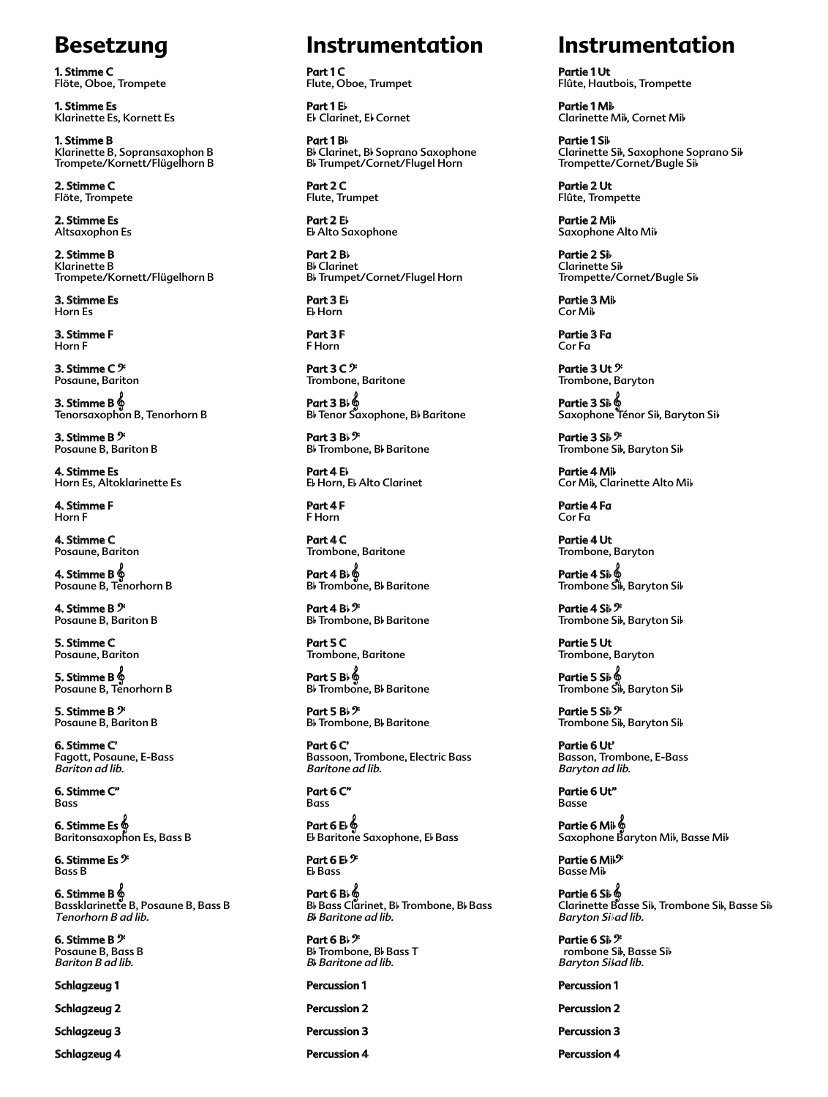1. Stimme C Part 1 C Partie 1 Ut

1. Stimme Es Part 1 Eb Partie 1 Mib Klarinette Es, Kornett Es Eb Clarinet, Eb Cornet

Trompete/Kornett/Flügelhorn B

2. Stimme C Part 2 C Partie 2 Ut Flöte, Trompete Flute, Trumpet Flûte, Trompette

2. Stimme B Part 2 Bb Partie 2 Sib Trompete/Kornett/Flügelhorn B

3. Stimme Es Part 3 Eb Partie 3 Mib Horn Es Eb Horn Cor Mib

3. Stimme F Part 3 F Partie 3 Fa Horn F F Horn Cor Fa

3. Stimme C  $\mathfrak{R}$ <br>Posaune, Bariton

**3. Stimme B**  $\oint$ <br>Tenorsaxophon B, Tenorhorn B

**3. Stimme B <sup>9:</sup>**<br>Posaune B, Bariton B

4. Stimme Es Part 4 Eb Partie 4 Mib Horn Es, Altoklarinette Es **Eb Horn, El Alto Clarinet** 

4. Stimme F Part 4 F Partie 4 Fa Horn F F Horn Cor Fa

4. Stimme B  $\overset{\blacklozenge}{\S}$ <br>Posaune B, Tenorhorn B

**4. Stimme B <sup>9:</sup>**<br>Posqune B. Bariton B

**5. Stimme B**  $\overset{\bullet}{\bullet}$ <br>Posaune B, Tenorhorn B

**5. Stimme B <sup>9</sup>**<br>Posaune B, Bariton B

6. Stimme C" Part 6 C" Partie 6 Ut" Bass Bass Basse

**6. Stimme Es**  $\overset{\bullet}{\bullet}$ <br>Baritonsaxophon Es, Bass B

**6. Stimme Es**  $\mathcal{P}$ <br>Bass B Bass B Eb Bass Basse Mib

6. Stimme B  $\overset{\blacklozenge}{\S}$ <br>Bassklarinette B, Posaune B, Bass B Tenorhorn B ad lib.

**6. Stimme B <sup>9</sup> Posaune B, Bass B** 

Schlagzeug 1 **Percussion 1** Percussion 1 **Percussion 1** Percussion 1

Schlagzeug 2 **Percussion 2** Percussion 2 **Percussion 2** Percussion 2

Schlagzeug 3 Percussion 3 Percussion 3

Schlagzeug 4 **Percussion 4** Percussion 4 **Percussion 4** Percussion 4

1. Stimme B Part 1 Bb Partie 1 Sib Klarinette B, Sopransaxophon B Bb Clarinet, Bb Soprano Saxophone Clarinette Sib

2. Stimme Es Part 2 Eb Partie 2 Mib

Klarinette B Bb Clarinet Clarinette Sib

Part  $3C$ <sup> $9$ </sup> Trombone, Baritone Trombone, Baryton

 $\overset{\bullet}{\mathbb{Q}}$  Part 3 Bb  $\overset{\bullet}{\mathbb{Q}}$  Partie 3 Sib  $\overset{\bullet}{\mathbb{Q}}$ B<sub>b</sub> Tenor Saxophone, B<sub>b</sub> Baritone

> Part 3 Bb  $\mathcal{P}$  Partie 3 Sib  $\mathcal{P}$ B<sub>b</sub> Trombone, B<sub>b</sub> Baritone

4. Stimme C Part 4 C Partie 4 Ut Posaune, Bariton Trombone, Baritone Trombone, Baryton

> $\mathsf{Part} \, 4 \, \mathsf{B} \flat \, \stackrel{\mathsf{d}}{\mathsf{\scriptsize{\bullet}}} \, \mathsf{S} \mathsf{P}$ B<sub>b</sub> Trombone, B<sub>b</sub> Baritone

> Part 4 Bb  $\mathcal{P}$  Partie 4 Sib  $\mathcal{P}$ B<sub>b</sub> Trombone, B<sub>b</sub> Baritone

5. Stimme C Part 5 C Partie 5 Ut Posaune, Bariton Trombone, Baritone Trombone, Baryton

> $\mathsf{Part} \mathsf{5} \mathsf{B} \setminus \mathsf{6}$ B<sub>b</sub> Trombone, B<sub>b</sub> Baritone

> Part 5 Bb  $\mathcal{P}$  Partie 5 Sib  $\mathcal{P}$ B<sub>b</sub> Trombone, B<sub>b</sub> Baritone

6. Stimme C' Part 6 C' Partie 6 Ut' Fagott, Posaune, E-Bass Bassoon, Trombone, Electric Bass Basson, Trombone, E-Bass

 $\mathsf{Part}\,6\,\mathsf{E}\, \overset{\mathsf{d}}{\mathsf{\scriptsize{\bullet}}} \qquad \qquad \qquad \qquad \mathsf{Partie}\,6\,\mathsf{M}\mathsf{I}\!{\scriptsize{\bullet}}\,\overset{\mathsf{d}}{\mathsf{\scriptsize{\bullet}}}$ **E** Baritone Saxophone, E Bass

 $\mathcal{P}$  Part 6 E $\mathcal{P}$  Part 1 and 2 and 2 and 2 and 2 and 2 and 2 and 2 and 2 and 2 and 2 and 2 and 2 and 2 and 2 and 2 and 2 and 2 and 2 and 2 and 2 and 2 and 2 and 2 and 2 and 2 and 2 and 2 and 2 and 2 and 2 and 2 an

 $\mathsf{Part}\,6\,\mathsf{B}\, \mathsf{b}\, \mathsf{\Phi}$  Partie 6 Si $\mathsf{b}\, \mathsf{\Phi}$ Bassklarinette B, Posaune B, Bass B Bb Bass Clarinet, Bb Trombone, Bb Bass Clarinette Basse Sib

Part 6 Bb  $\mathcal{P}$  Partie 6 Sib  $\mathcal{P}$ Posaune B, Bass B<br> *Bb* Trombone, Bb Bass T<br> *Bb Bariton B ad lib.*<br> *Bb Baritone ad lib.* 

## **Besetzung Instrumentation Instrumentation**

Flöte, Oboe, Trompete Flute, Oboe, Trumpet Flûte, Hautbois, Trompette

Clarinette Mil. Cornet Mil

Clarinette Sil, Saxophone Soprano Sil

Altsaxophon Es Eb Alto Saxophone Saxophone Alto Mib

 $\mathcal{P}$  Partie 3 Ut  $\mathcal{P}$ 

, Baryton Sib

Trombone Sil, Baryton Sil

Cor Mil, Clarinette Alto Mil

Trombone Sil, Baryton Sil

Trombone Sib, Baryton Sib

Trombone Sib, Baryton Sib

Trombone Sib, Baryton Sib

Baryton ad lib.

Saxophone Baryton Mil, Basse Mil

Partie 6 Mil<sup>y</sup>

, Trombone Sib , Basse Sib

rombone Sil, Basse Sil Baryton Silad lib.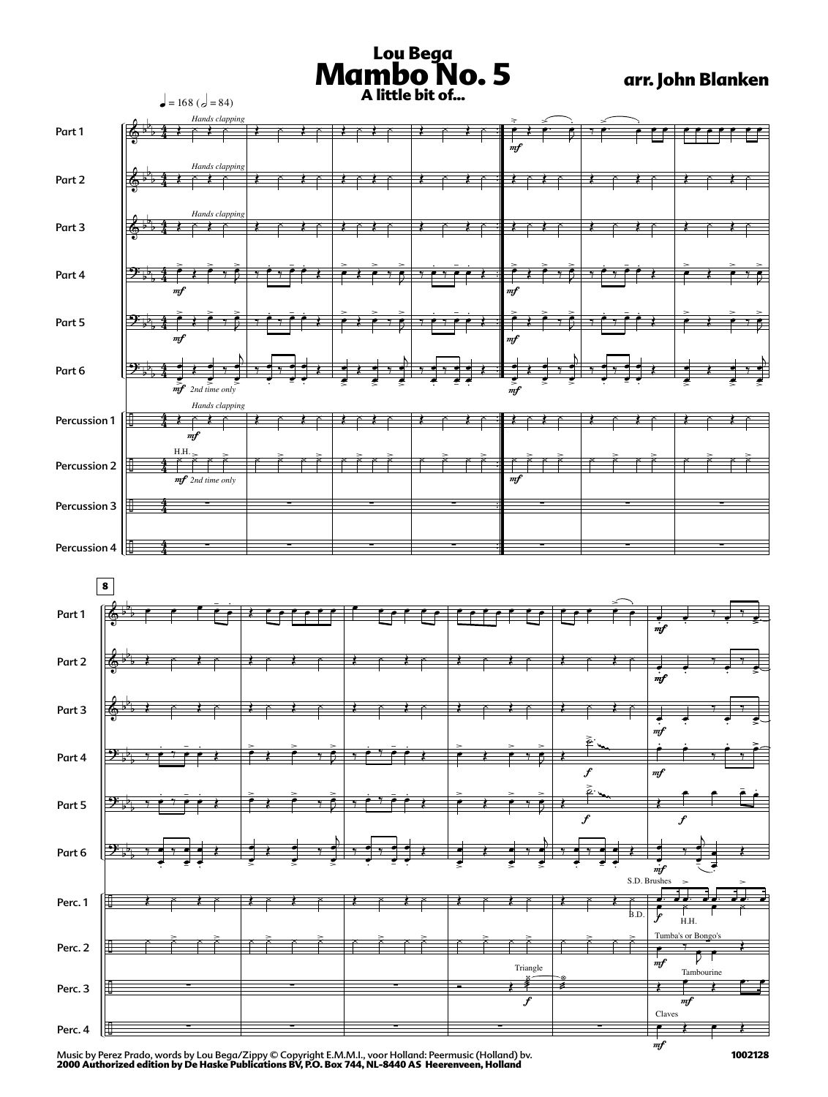# Lou Bega<br>Mambo No. 5<br>A little bit of...

## arr. John Blanken



Music by Perez Prado, words by Lou Bega/Zippy © Copyright E.M.M.I., voor Holland: Peermusic (Holland) bv.<br>2000 Authorized edition by De Haske Publications BV, P.O. Box 744, NL-8440 AS Heerenveen, Holland

1002128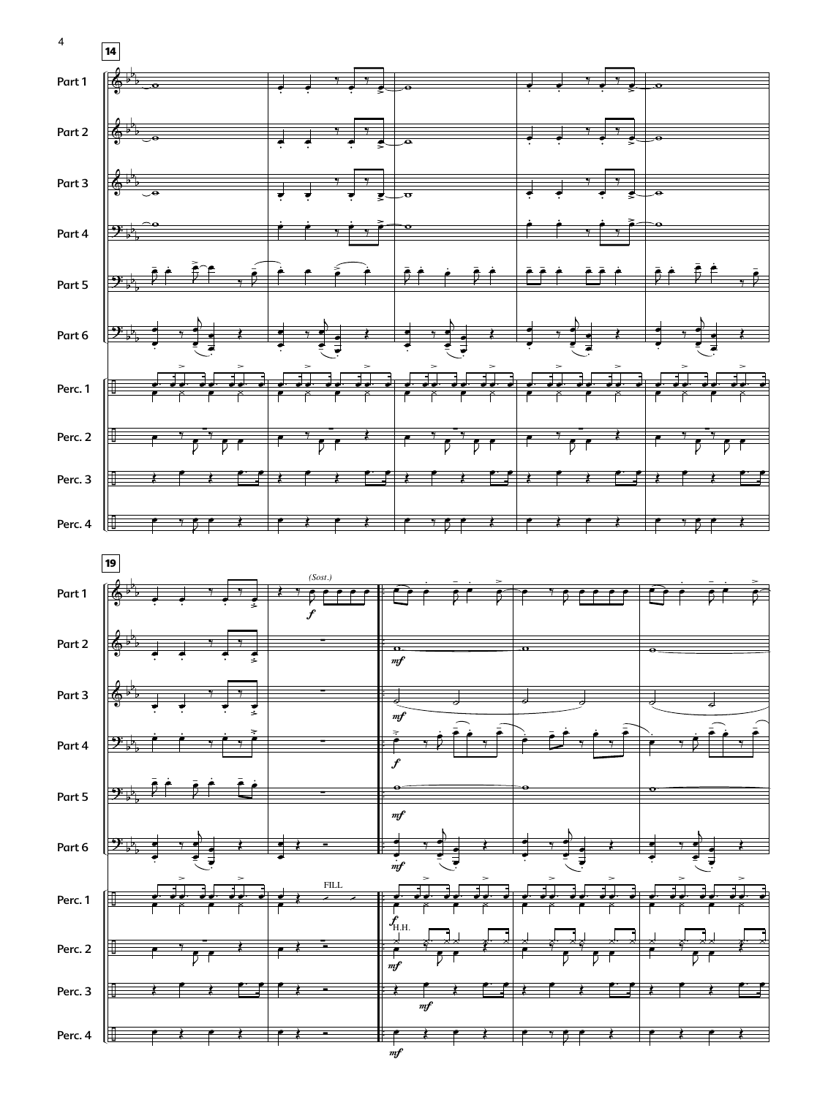